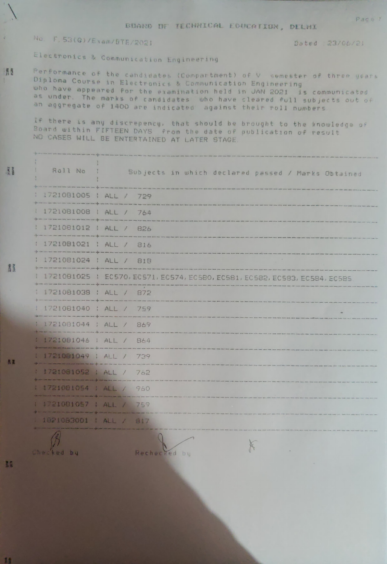## BUARD DF TECHNICAL EDUCATION, DELHI

## No. F. 53(G)/Exam/BTE/2021

Dated : 23/06/21

Pace 1

Electronics & Communication Engineering

Performance of the candidates (Compartment) of V semester of three years Diploma Course in Electronics & Communication Engineering who have appeared for the examination held in JAN 2021 is communicated as under. The marks of candidates who have cleared full subjects out of an aggregate of 1400 are indicated against their roll numbers

If there is any discrepency, that should be brought to the knowledge of Board within FIFTEEN DAYS from the date of publication of result NO CASES WILL BE ENTERTAINED AT LATER STAGE.

| Roll No ;                                                                                                                     | Subjects in which declared passed / Marks Obtained                                                                                                                                                                             |
|-------------------------------------------------------------------------------------------------------------------------------|--------------------------------------------------------------------------------------------------------------------------------------------------------------------------------------------------------------------------------|
| 1721081005   ALL / 729<br>and the state of the color color color and the state with the color color and provided the state of |                                                                                                                                                                                                                                |
| 1721081008   ALL / 764                                                                                                        |                                                                                                                                                                                                                                |
| 1721081012   ALL / 826                                                                                                        | the sea was a complete the contract of the season of the complete state of the season of the complete state of the complete state of the complete state of the complete state of the complete state of the complete state of t |
| : 1721081021 : ALL / 816                                                                                                      |                                                                                                                                                                                                                                |
| 1721081024   ALL / 818                                                                                                        |                                                                                                                                                                                                                                |
|                                                                                                                               | 1721081025   EC570, EC571, EC574, EC580, EC581, EC582, EC583, EC584, EC585                                                                                                                                                     |
| 1721081038   ALL / 872<br>Chine, José Sina dels Santa com del tener de la ciencia del controllado de la companya              |                                                                                                                                                                                                                                |
| 1 1721081040 ; ALL / 759<br>or large part and the set of the cold compared with the set of the first start with the set       |                                                                                                                                                                                                                                |
| 1 1721081044 ; ALL / 869<br>and the company's seat of the company's                                                           |                                                                                                                                                                                                                                |
| 1 1721081046   ALL / 864                                                                                                      |                                                                                                                                                                                                                                |
| 1 1721081049   ALL / 739                                                                                                      |                                                                                                                                                                                                                                |
| 1 1721081052   ALL / 762                                                                                                      |                                                                                                                                                                                                                                |
| 1 1721081054   ALL / 960                                                                                                      |                                                                                                                                                                                                                                |
| 1 1721081057   ALL / 759                                                                                                      |                                                                                                                                                                                                                                |
| : 1821083001   ALL / 817                                                                                                      |                                                                                                                                                                                                                                |
|                                                                                                                               |                                                                                                                                                                                                                                |

K

Checked by

Rechecked by

H

 $\overline{\mathcal{L}}$ 

月页

日 2012

長菜

 $11$ 

ng